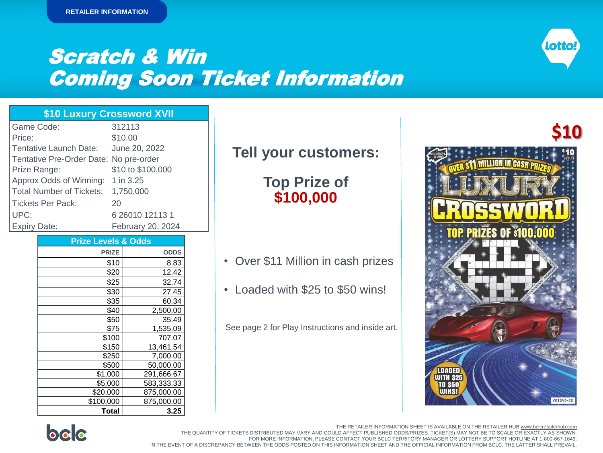

# Scratch & Win Coming Soon Ticket Information

### **\$10 Luxury Crossword XVII**

| Game Code:                             | 312113            |
|----------------------------------------|-------------------|
| Price:                                 | \$10.00           |
| Tentative Launch Date:                 | June 20, 2022     |
| Tentative Pre-Order Date: No pre-order |                   |
| Prize Range:                           | \$10 to \$100,000 |
| Approx Odds of Winning: 1 in 3.25      |                   |
| <b>Total Number of Tickets:</b>        | 1,750,000         |
| <b>Tickets Per Pack:</b>               | 20                |
| UPC:                                   | 6 26010 12113 1   |
| <b>Expiry Date:</b>                    | February 20, 2024 |

| <b>Prize Levels &amp; Odds</b> |             |
|--------------------------------|-------------|
| <b>PRIZE</b>                   | <b>ODDS</b> |
| \$10                           | 8.83        |
| \$20                           | 12.42       |
| \$25                           | 32.74       |
| \$30                           | 27.45       |
| \$35                           | 60.34       |
| \$40                           | 2,500.00    |
| \$50                           | 35.49       |
| \$75                           | 1,535.09    |
| \$100                          | 707.07      |
| \$150                          | 13,461.54   |
| \$250                          | 7,000.00    |
| \$500                          | 50,000.00   |
| \$1,000                        | 291,666.67  |
| \$5,000                        | 583,333.33  |
| \$20,000                       | 875,000.00  |
| \$100,000                      | 875,000.00  |
| Total                          | 3.25        |

## **Tell your customers:**

**Top Prize of \$100,000**

- Over \$11 Million in cash prizes
- Loaded with \$25 to \$50 wins!

See page 2 for Play Instructions and inside art.





The Retailer Information Sheet is also available on bclcretailerhub.com. THE QUANTITY OF TICKETS DISTRIBUTED MAY VARY AND COULD AFFECT PUBLISHED ODDS/PRIZES. TICKET(S) MAY NOT BE TO SCALE OR EXACTLY AS SHOWN. For more information, please contact your BCLC Territory Manager or Lottery Support Hotline at 1-800-667-1649. FOR MORE INFORMATION, PLEASE CONTACT YOUR BCLC TERRITORY MANAGER OR LOTTERY SUPPORT HOTLINE AT 1-800-667-1649. THE RETAILER INFORMATION SHEET IS AVAILABLE ON THE RETAILER HUB www.bclcretailerhub.com IN THE EVENT OF A DISCREPANCY BETWEEN THE ODDS POSTED ON THIS INFORMATION SHEET AND THE OFFICIAL INFORMATION FROM BCLC, THE LATTER SHALL PREVAIL.